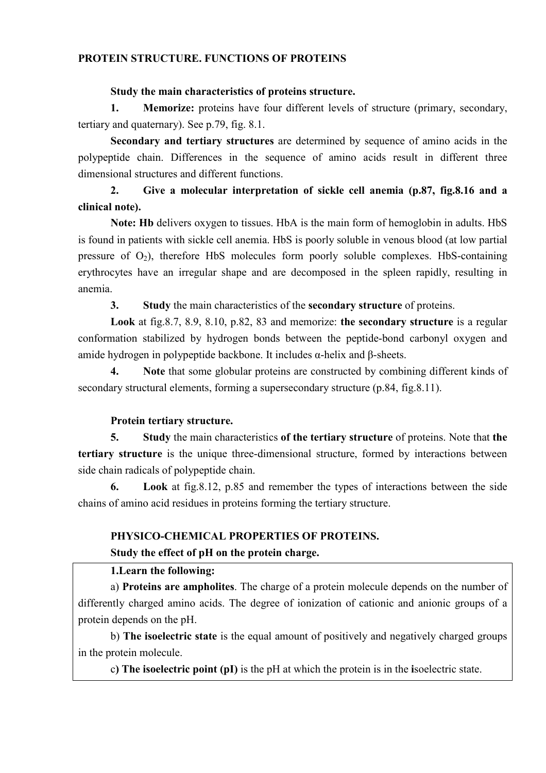### **PROTEIN STRUCTURE. FUNCTIONS OF PROTEINS**

#### **Study the main characteristics of proteins structure.**

**1. Memorize:** proteins have four different levels of structure (primary, secondary, tertiary and quaternary). See p.79, fig. 8.1.

**Secondary and tertiary structures** are determined by sequence of amino acids in the polypeptide chain. Differences in the sequence of amino acids result in different three dimensional structures and different functions.

# **2. Give a molecular interpretation of sickle cell anemia (p.87, fig.8.16 and a clinical note).**

**Note: Hb** delivers oxygen to tissues. HbA is the main form of hemoglobin in adults. HbS is found in patients with sickle cell anemia. HbS is poorly soluble in venous blood (at low partial pressure of  $O_2$ ), therefore HbS molecules form poorly soluble complexes. HbS-containing erythrocytes have an irregular shape and are decomposed in the spleen rapidly, resulting in anemia.

**3. Study** the main characteristics of the **secondary structure** of proteins.

**Look** at fig.8.7, 8.9, 8.10, p.82, 83 and memorize: **the secondary structure** is a regular conformation stabilized by hydrogen bonds between the peptide-bond carbonyl oxygen and amide hydrogen in polypeptide backbone. It includes α-helix and β-sheets.

**4. Note** that some globular proteins are constructed by combining different kinds of secondary structural elements, forming a supersecondary structure (p.84, fig.8.11).

### **Protein tertiary structure.**

**5. Study** the main characteristics **of the tertiary structure** of proteins. Note that **the tertiary structure** is the unique three-dimensional structure, formed by interactions between side chain radicals of polypeptide chain.

**6. Look** at fig.8.12, p.85 and remember the types of interactions between the side chains of amino acid residues in proteins forming the tertiary structure.

## **PHYSICO-CHEMICAL PROPERTIES OF PROTEINS.**

### **Study the effect of pH on the protein charge.**

### **1.Learn the following:**

a) **Proteins are ampholites**. The charge of a protein molecule depends on the number of differently charged amino acids. The degree of ionization of cationic and anionic groups of a protein depends on the pH.

b) **The isoelectric state** is the equal amount of positively and negatively charged groups in the protein molecule.

c**) The isoelectric point (pI)** is the pH at which the protein is in the **i**soelectric state.